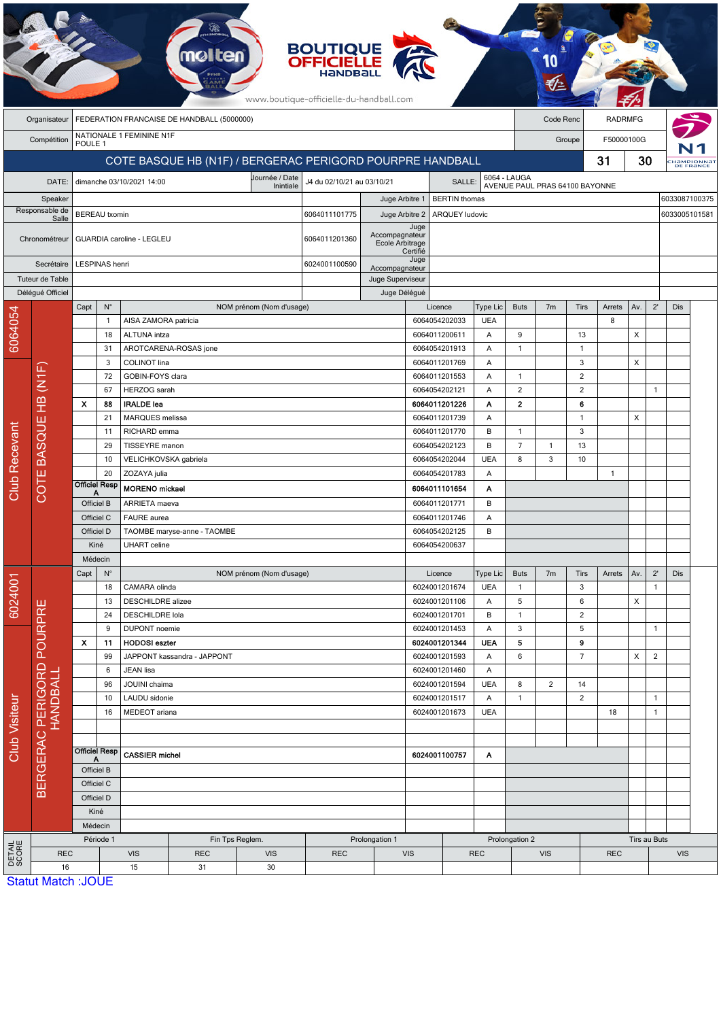|                      |                           |                    |                          |                                           |                                            |                                                           | <b>BOUTIQUE<br/>OFFICIELLE</b><br>www.boutique-officielle-du-handball.com |                                   |                  |                                |                 |                                                |                |                    |                |              |                |               |                        |  |  |
|----------------------|---------------------------|--------------------|--------------------------|-------------------------------------------|--------------------------------------------|-----------------------------------------------------------|---------------------------------------------------------------------------|-----------------------------------|------------------|--------------------------------|-----------------|------------------------------------------------|----------------|--------------------|----------------|--------------|----------------|---------------|------------------------|--|--|
|                      | Organisateur              |                    |                          |                                           | FEDERATION FRANCAISE DE HANDBALL (5000000) |                                                           |                                                                           |                                   |                  |                                |                 |                                                | Code Renc      |                    | <b>RADRMFG</b> |              |                |               |                        |  |  |
|                      | Compétition               |                    |                          | NATIONALE 1 FEMININE N1F                  |                                            |                                                           |                                                                           |                                   |                  |                                |                 |                                                |                | Groupe             | F50000100G     |              |                |               |                        |  |  |
|                      |                           | POULE <sub>1</sub> |                          |                                           |                                            |                                                           |                                                                           |                                   |                  |                                |                 |                                                |                |                    |                |              |                |               |                        |  |  |
|                      |                           |                    |                          |                                           |                                            | COTE BASQUE HB (N1F) / BERGERAC PERIGORD POURPRE HANDBALL |                                                                           |                                   |                  |                                |                 |                                                |                |                    | 31             | 30           |                |               | HaMPIONNA<br>DE FRANCE |  |  |
|                      | DATE:                     |                    |                          | dimanche 03/10/2021 14:00                 |                                            | Journée / Date<br>Inintiale                               | J4 du 02/10/21 au 03/10/21                                                |                                   |                  | SALLE:                         |                 | 6064 - LAUGA<br>AVENUE PAUL PRAS 64100 BAYONNE |                |                    |                |              |                |               |                        |  |  |
|                      | Speaker                   |                    |                          |                                           |                                            |                                                           |                                                                           | Juge Arbitre 1                    |                  | <b>BERTIN</b> thomas           |                 |                                                |                |                    |                |              |                | 6033087100375 |                        |  |  |
|                      | Responsable de<br>Salle   |                    | <b>BEREAU</b> txomin     |                                           |                                            |                                                           | 6064011101775                                                             | Juge Arbitre 2                    |                  | <b>ARQUEY ludovic</b>          |                 |                                                |                |                    |                |              |                | 6033005101581 |                        |  |  |
|                      | Chronométreur             |                    |                          | GUARDIA caroline - LEGLEU                 |                                            |                                                           | 6064011201360                                                             | Accompagnateur<br>Ecole Arbitrage | Juge<br>Certifié |                                |                 |                                                |                |                    |                |              |                |               |                        |  |  |
|                      | Secrétaire                |                    | LESPINAS henri           |                                           |                                            |                                                           | 6024001100590                                                             | Accompagnateur                    | Juge             |                                |                 |                                                |                |                    |                |              |                |               |                        |  |  |
|                      | Tuteur de Table           |                    |                          |                                           |                                            |                                                           |                                                                           | Juge Superviseur                  |                  |                                |                 |                                                |                |                    |                |              |                |               |                        |  |  |
|                      | Délégué Officiel          |                    |                          |                                           |                                            |                                                           |                                                                           | Juge Délégué                      |                  |                                |                 |                                                |                |                    |                |              |                |               |                        |  |  |
|                      |                           | Capt               | $N^{\circ}$              |                                           |                                            | NOM prénom (Nom d'usage)                                  |                                                                           |                                   |                  | Licence                        | Type Lic        | <b>Buts</b>                                    | 7 <sub>m</sub> | Tirs               | Arrets         | Av.          | $2^{\prime}$   | Dis           |                        |  |  |
| 6064054              |                           |                    | $\mathbf{1}$             | AISA ZAMORA patricia                      |                                            |                                                           |                                                                           |                                   |                  | 6064054202033                  | <b>UEA</b>      |                                                |                |                    | 8              |              |                |               |                        |  |  |
|                      |                           |                    | 18<br>31                 | ALTUNA intza                              | AROTCARENA-ROSAS jone                      |                                                           |                                                                           |                                   |                  | 6064011200611<br>6064054201913 | Α<br>Α          | 9<br>1                                         |                | 13<br>$\mathbf{1}$ |                | X            |                |               |                        |  |  |
|                      |                           |                    | 3                        | COLINOT lina                              |                                            |                                                           |                                                                           |                                   |                  | 6064011201769                  | Α               |                                                |                | 3                  |                | X            |                |               |                        |  |  |
|                      |                           |                    | 72                       | GOBIN-FOYS clara                          |                                            |                                                           |                                                                           |                                   |                  | 6064011201553                  | Α               | $\mathbf{1}$                                   |                | $\overline{2}$     |                |              |                |               |                        |  |  |
|                      | HB (N1F)                  |                    | 67                       | HERZOG sarah                              |                                            |                                                           |                                                                           |                                   |                  | 6064054202121                  | Α               | $\overline{c}$                                 |                | $\overline{2}$     |                |              | $\overline{1}$ |               |                        |  |  |
|                      |                           | $\pmb{\chi}$       | 88                       | <b>IRALDE</b> lea                         |                                            |                                                           |                                                                           |                                   |                  | 6064011201226                  | Α               | $\mathbf{2}$                                   |                | 6                  |                |              |                |               |                        |  |  |
|                      |                           |                    | 21                       | MARQUES melissa                           |                                            |                                                           |                                                                           |                                   |                  | 6064011201739                  | Α               |                                                |                | $\mathbf{1}$       |                | X            |                |               |                        |  |  |
|                      |                           |                    | 11                       | RICHARD emma                              |                                            |                                                           |                                                                           |                                   |                  | 6064011201770                  | B               | 1                                              |                | 3                  |                |              |                |               |                        |  |  |
|                      | COTE BASQUE               |                    | 29                       | TISSEYRE manon                            |                                            |                                                           |                                                                           |                                   |                  | 6064054202123                  | B               | $\overline{7}$                                 | $\mathbf{1}$   | 13                 |                |              |                |               |                        |  |  |
|                      |                           |                    | 10                       | VELICHKOVSKA gabriela                     |                                            |                                                           |                                                                           |                                   |                  | 6064054202044                  | <b>UEA</b>      | 8                                              | 3              | 10                 |                |              |                |               |                        |  |  |
|                      |                           |                    | 20                       | ZOZAYA julia                              |                                            |                                                           |                                                                           |                                   |                  | 6064054201783                  | Α               |                                                |                |                    | $\overline{1}$ |              |                |               |                        |  |  |
| <b>Club Recevant</b> |                           | Α                  | <b>Officiel Resp</b>     | <b>MORENO</b> mickael                     |                                            |                                                           |                                                                           | 6064011101654                     |                  | А                              |                 |                                                |                |                    |                |              |                |               |                        |  |  |
|                      |                           | Officiel B         |                          | ARRIETA maeva                             |                                            |                                                           |                                                                           | 6064011201771<br>6064011201746    |                  | B                              |                 |                                                |                |                    |                |              |                |               |                        |  |  |
|                      |                           |                    | Officiel C               | FAURE aurea                               |                                            |                                                           |                                                                           |                                   |                  | Α                              |                 |                                                |                |                    |                |              |                |               |                        |  |  |
|                      |                           |                    | Officiel D               |                                           | TAOMBE maryse-anne - TAOMBE                |                                                           |                                                                           |                                   | 6064054202125    |                                |                 |                                                |                |                    |                |              |                |               |                        |  |  |
|                      |                           | Kiné               |                          | <b>UHART</b> celine                       |                                            |                                                           |                                                                           | 6064054200637                     |                  |                                |                 |                                                |                |                    |                |              |                |               |                        |  |  |
|                      |                           |                    | Médecin                  |                                           |                                            |                                                           |                                                                           |                                   |                  |                                |                 |                                                |                |                    |                |              |                |               |                        |  |  |
|                      |                           | Capt               | $N^{\circ}$              |                                           |                                            | NOM prénom (Nom d'usage)                                  |                                                                           |                                   |                  | Licence                        | Type Lic        | <b>Buts</b>                                    | 7 <sub>m</sub> | Tirs               | Arrets         | Av.          | $2^{\prime}$   | Dis           |                        |  |  |
| 6024001              |                           |                    | 18<br>13                 | CAMARA olinda<br><b>DESCHILDRE</b> alizee |                                            |                                                           |                                                                           |                                   |                  | 6024001201674<br>6024001201106 | <b>UEA</b><br>A | $\mathbf{1}$<br>5                              |                | 3<br>6             |                | X            | $\mathbf{1}$   |               |                        |  |  |
|                      |                           |                    | 24                       | DESCHILDRE Iola                           |                                            |                                                           |                                                                           |                                   |                  | 6024001201701                  | В               | $\mathbf{1}$                                   |                | $\overline{2}$     |                |              |                |               |                        |  |  |
|                      | POURPRE                   |                    | 9                        | <b>DUPONT</b> noemie                      |                                            |                                                           |                                                                           |                                   |                  | 6024001201453                  | A               | 3                                              |                | 5                  |                |              | $\mathbf{1}$   |               |                        |  |  |
|                      |                           | X                  | 11                       | <b>HODOSI</b> eszter                      |                                            |                                                           |                                                                           |                                   |                  | 6024001201344                  | UEA             | 5                                              |                | 9                  |                |              |                |               |                        |  |  |
|                      |                           |                    | 99                       |                                           | JAPPONT kassandra - JAPPONT                |                                                           |                                                                           |                                   |                  | 6024001201593                  | Α               | 6                                              |                | $\overline{7}$     |                | X            | $\overline{2}$ |               |                        |  |  |
|                      |                           |                    | PERIGORD                 |                                           | 6                                          | JEAN lisa                                                 |                                                                           |                                   |                  |                                |                 | 6024001201460                                  | A              |                    |                |              |                |               |                        |  |  |
|                      |                           |                    | 96                       | JOUINI chaima                             |                                            |                                                           |                                                                           |                                   |                  | 6024001201594                  | <b>UEA</b>      | 8                                              | 2              | 14                 |                |              |                |               |                        |  |  |
|                      |                           |                    | 10                       | LAUDU sidonie                             |                                            |                                                           |                                                                           |                                   |                  | 6024001201517                  | A               | $\mathbf{1}$                                   |                | 2                  |                |              | $\mathbf{1}$   |               |                        |  |  |
|                      | <b>HANDBALI</b>           |                    | 16                       | MEDEOT ariana                             |                                            |                                                           |                                                                           |                                   |                  | 6024001201673                  | <b>UEA</b>      |                                                |                |                    | 18             |              | $\mathbf{1}$   |               |                        |  |  |
|                      |                           |                    |                          |                                           |                                            |                                                           |                                                                           |                                   |                  |                                |                 |                                                |                |                    |                |              |                |               |                        |  |  |
| <b>Club Visiteur</b> |                           |                    | <b>Officiel Resp</b>     |                                           |                                            |                                                           |                                                                           |                                   |                  |                                |                 |                                                |                |                    |                |              |                |               |                        |  |  |
|                      | <b>BERGERAC</b>           |                    | A                        | <b>CASSIER michel</b>                     |                                            |                                                           |                                                                           |                                   |                  | 6024001100757                  | A               |                                                |                |                    |                |              |                |               |                        |  |  |
|                      |                           |                    | Officiel B               |                                           |                                            |                                                           |                                                                           |                                   |                  |                                |                 |                                                |                |                    |                |              |                |               |                        |  |  |
|                      |                           |                    | Officiel C<br>Officiel D |                                           |                                            |                                                           |                                                                           |                                   |                  |                                |                 |                                                |                |                    |                |              |                |               |                        |  |  |
|                      |                           |                    | Kiné                     |                                           |                                            |                                                           |                                                                           |                                   |                  |                                |                 |                                                |                |                    |                |              |                |               |                        |  |  |
|                      |                           |                    | Médecin                  |                                           |                                            |                                                           |                                                                           |                                   |                  |                                |                 |                                                |                |                    |                |              |                |               |                        |  |  |
|                      |                           |                    | Période 1                |                                           |                                            | Fin Tps Reglem.                                           | Prolongation 1                                                            |                                   |                  |                                | Prolongation 2  |                                                |                |                    |                | Tirs au Buts |                |               |                        |  |  |
| DETAIL<br>SCORE      | <b>REC</b>                |                    |                          | <b>VIS</b>                                | <b>REC</b>                                 | <b>VIS</b>                                                | <b>REC</b>                                                                |                                   |                  | <b>REC</b><br><b>VIS</b>       |                 | <b>VIS</b>                                     |                |                    | <b>REC</b>     |              |                | <b>VIS</b>    |                        |  |  |
|                      | 16                        |                    |                          | 15                                        | 31                                         | 30                                                        |                                                                           |                                   |                  |                                |                 |                                                |                |                    |                |              |                |               |                        |  |  |
|                      | <b>Statut Match: JOUE</b> |                    |                          |                                           |                                            |                                                           |                                                                           |                                   |                  |                                |                 |                                                |                |                    |                |              |                |               |                        |  |  |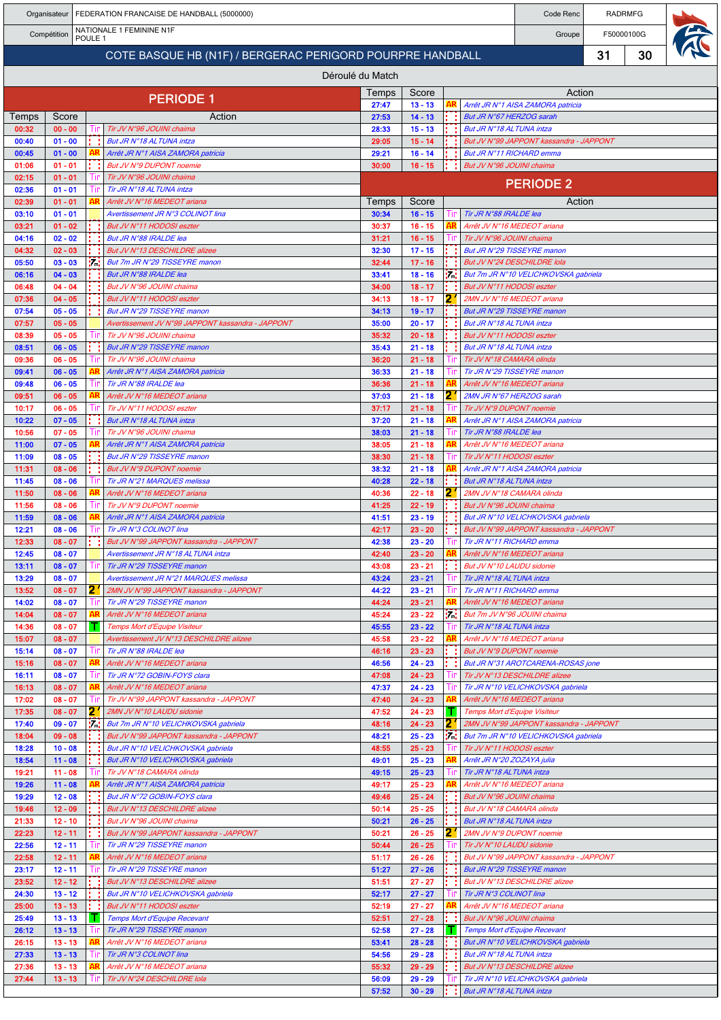| Organisateur<br>FEDERATION FRANCAISE DE HANDBALL (5000000) |                        |                    |  |                                                                                 |                |                        | Code Renc  | <b>RADRMFG</b>                                            |                                                                                 |    |            |  |
|------------------------------------------------------------|------------------------|--------------------|--|---------------------------------------------------------------------------------|----------------|------------------------|------------|-----------------------------------------------------------|---------------------------------------------------------------------------------|----|------------|--|
|                                                            | Compétition            | POULE <sub>1</sub> |  | NATIONALE 1 FEMININE N1F                                                        |                |                        |            |                                                           | Groupe                                                                          |    | F50000100G |  |
|                                                            |                        |                    |  | COTE BASQUE HB (N1F) / BERGERAC PERIGORD POURPRE HANDBALL                       |                |                        |            |                                                           |                                                                                 | 31 | 30         |  |
|                                                            |                        |                    |  | Déroulé du Match                                                                |                |                        |            |                                                           |                                                                                 |    |            |  |
|                                                            |                        |                    |  | <b>PERIODE 1</b>                                                                | Temps          | Score                  |            |                                                           | Action                                                                          |    |            |  |
| Temps                                                      | Score                  |                    |  | Action                                                                          | 27:47<br>27:53 | $13 - 13$<br>$14 - 13$ |            | But JR N°67 HERZOG sarah                                  | Arrêt JR N°1 AISA ZAMORA patricia                                               |    |            |  |
| 00:32                                                      | $00 - 00$              |                    |  | Tir JV N°96 JOUINI chaima                                                       | 28:33          | $15 - 13$              |            | But JR N°18 ALTUNA intza                                  |                                                                                 |    |            |  |
| 00:40<br>00:45                                             | $01 - 00$<br>$01 - 00$ |                    |  | But JR N°18 AL TUNA intza<br>Arrêt JR N°1 AISA ZAMORA patricia                  | 29:05<br>29:21 | $15 - 14$<br>$16 - 14$ |            | But JR N°11 RICHARD emma                                  | But JV N°99 JAPPONT kassandra - JAPPONT                                         |    |            |  |
| 01:06                                                      | $01 - 01$              |                    |  | But JV N°9 DUPONT noemie                                                        | 30:00          | $16 - 15$              |            | But JV N°96 JOUINI chaima                                 |                                                                                 |    |            |  |
| 02:15<br>02:36                                             | $01 - 01$<br>$01 - 01$ |                    |  | Tir JV N°96 JOUINI chaima<br>Tir JR N°18 AL TUNA intza                          |                |                        |            |                                                           | <b>PERIODE 2</b>                                                                |    |            |  |
| 02:39                                                      | $01 - 01$              |                    |  | Arrêt JV N°16 MEDEOT ariana                                                     | Temps          | Score                  |            |                                                           | Action                                                                          |    |            |  |
| 03:10                                                      | $01 - 01$              |                    |  | Avertissement JR N°3 COLINOT lina                                               | 30:34          | $16 - 15$              | l in       | Tir JR N°88 IRALDE lea                                    |                                                                                 |    |            |  |
| 03:21<br>04:16                                             | $01 - 02$<br>$02 - 02$ |                    |  | But JV N°11 HODOSI eszter<br>But JR N°88 IRALDE lea                             | 30:37<br>31:21 | $16 - 15$<br>$16 - 15$ |            | Arrêt JV N°16 MEDEOT ariana<br>Tir JV N°96 JOUINI chaima  |                                                                                 |    |            |  |
| 04:32                                                      | $02 - 03$              |                    |  | But JV N°13 DESCHILDRE alizee                                                   | 32:30          | $17 - 15$              |            |                                                           | <b>But JR N°29 TISSEYRE manon</b>                                               |    |            |  |
| 05:50<br>06:16                                             | $03 - 03$<br>$04 - 03$ | 7.                 |  | But 7m JR N°29 TISSEYRE manon<br>But JR N°88 IRALDE lea                         | 32:44<br>33:41 | $17 - 16$<br>$18 - 16$ | и.         |                                                           | But JV N°24 DESCHILDRE Iola<br>But 7m JR N°10 VELICHKOVSKA gabriela             |    |            |  |
| 06:48                                                      | $04 - 04$              |                    |  | But JV N°96 JOUINI chaima                                                       | 34:00          | $18 - 17$              |            | But JV N°11 HODOSI eszter                                 |                                                                                 |    |            |  |
| 07:36<br>07:54                                             | $04 - 05$<br>$05 - 05$ |                    |  | But JV N°11 HODOSI eszter<br>But JR N°29 TISSEYRE manon                         | 34:13<br>34:13 | $18 - 17$<br>$19 - 17$ | 2          | 2MN JV N°16 MEDEOT ariana                                 | <b>But JR N°29 TISSEYRE manon</b>                                               |    |            |  |
| 07:57                                                      | $05 - 05$              |                    |  | Avertissement JV N°99 JAPPONT kassandra - JAPPONT                               | 35:00          | $20 - 17$              |            | But JR N°18 ALTUNA intza                                  |                                                                                 |    |            |  |
| 08:39<br>08:51                                             | $05 - 05$<br>$06 - 05$ |                    |  | Tir JV N°96 JOUINI chaima<br>But JR N°29 TISSEYRE manon                         | 35:32<br>35:43 | $20 - 18$<br>$21 - 18$ |            | But JV N°11 HODOSI eszter<br>But JR N°18 ALTUNA intza     |                                                                                 |    |            |  |
| 09:36                                                      | $06 - 05$              |                    |  | Tir JV N°96 JOUINI chaima                                                       | 36:20          | $21 - 18$              |            | Tir JV N°18 CAMARA olinda                                 |                                                                                 |    |            |  |
| 09:41<br>09:48                                             | $06 - 05$<br>$06 - 05$ |                    |  | Arrêt JR N°1 AISA ZAMORA patricia<br>Tir JR N°88 IRALDE lea                     | 36:33<br>36:36 | $21 - 18$<br>$21 - 18$ |            | Tir JR N°29 TISSEYRE manon<br>Arrêt JV N°16 MEDEOT ariana |                                                                                 |    |            |  |
| 09:51                                                      | $06 - 05$              |                    |  | Arrêt JV N°16 MEDEOT ariana                                                     | 37:03          | $21 - 18$              |            | 2MN JR N°67 HERZOG sarah                                  |                                                                                 |    |            |  |
| 10:17                                                      | $06 - 05$              |                    |  | Tir JV N°11 HODOSI eszter                                                       | 37:17          | $21 - 18$              |            | Tir JV N°9 DUPONT noemie                                  |                                                                                 |    |            |  |
| 10:22<br>10:56                                             | $07 - 05$<br>$07 - 05$ |                    |  | But JR N°18 AL TUNA intza<br>Tir JV N°96 JOUINI chaima                          | 37:20<br>38:03 | $21 - 18$<br>$21 - 18$ |            | Tir JR N°88 IRALDE lea                                    | Arrêt JR N°1 AISA ZAMORA patricia                                               |    |            |  |
| 11:00                                                      | $07 - 05$              |                    |  | Arrêt JR N°1 AISA ZAMORA patricia                                               | 38:05          | $21 - 18$              |            | Arrêt JV N°16 MEDEOT ariana                               |                                                                                 |    |            |  |
| 11:09<br>11:31                                             | $08 - 05$<br>$08 - 06$ |                    |  | But JR N°29 TISSEYRE manon<br>But JV N°9 DUPONT noemie                          | 38:30<br>38:32 | $21 - 18$<br>$21 - 18$ |            | Tir JV N°11 HODOSI eszter                                 | Arrêt JR N°1 AISA ZAMORA patricia                                               |    |            |  |
| 11:45                                                      | $08 - 06$              |                    |  | Tir JR N°21 MARQUES melissa                                                     | 40:28          | $22 - 18$              |            | But JR N°18 ALTUNA intza                                  |                                                                                 |    |            |  |
| 11:50<br>11:56                                             | $08 - 06$<br>$08 - 06$ |                    |  | Arrêt JV N°16 MEDEOT ariana<br>Tir JV N°9 DUPONT noemie                         | 40:36<br>41:25 | $22 - 18$<br>$22 - 19$ | 2          | 2MN JV N°18 CAMARA olinda<br>But JV N°96 JOUINI chaima    |                                                                                 |    |            |  |
| 11:59                                                      | $08 - 06$              |                    |  | Arrêt JR N°1 AISA ZAMORA patricia                                               | 41:51          | $23 - 19$              |            |                                                           | But JR N°10 VELICHKOVSKA gabriela                                               |    |            |  |
| 12:21<br>12:33                                             | $08 - 06$<br>$08 - 07$ |                    |  | Tir JR N°3 COLINOT lina<br>But JV N°99 JAPPONT kassandra - JAPPONT              | 42:17<br>42:38 | $23 - 20$<br>$23 - 20$ |            | Tir JR N°11 RICHARD emma                                  | But JV N°99 JAPPONT kassandra - JAPPONT                                         |    |            |  |
| 12:45                                                      | $08 - 07$              |                    |  | Avertissement JR N°18 ALTUNA intza                                              | 42:40          | $23 - 20$              |            | Arrêt JV N°16 MEDEOT ariana                               |                                                                                 |    |            |  |
| 13:11<br>13:29                                             | $08 - 07$<br>$08 - 07$ |                    |  | Tir JR N°29 TISSEYRE manon<br>Avertissement JR N°21 MARQUES melissa             | 43:08<br>43:24 | $23 - 21$<br>$23 - 21$ | l in       | But JV N°10 LAUDU sidonie<br>Tir JR N°18 ALTUNA intza     |                                                                                 |    |            |  |
| 13:52                                                      | $08 - 07$              | 21                 |  | 2MN JV N°99 JAPPONT kassandra - JAPPONT                                         | 44:22          | $23 - 21$              | Tin        | Tir JR N°11 RICHARD emma                                  |                                                                                 |    |            |  |
| 14:02                                                      | $08 - 07$              |                    |  | Tir JR N°29 TISSEYRE manon                                                      | 44:24          | $23 - 21$              |            | Arrêt JV N°16 MEDEOT ariana                               | But 7m JV N°96 JOUINI chaima                                                    |    |            |  |
| 14:04<br>14:36                                             | $08 - 07$<br>$08 - 07$ | T.                 |  | Arrêt JV N°16 MEDEOT ariana<br>Temps Mort d'Equipe Visiteur                     | 45:24<br>45:55 | $23 - 22$<br>$23 - 22$ | У.<br>l in | Tir JR N°18 ALTUNA intza                                  |                                                                                 |    |            |  |
| 15:07                                                      | $08 - 07$              |                    |  | Avertissement JV N°13 DESCHILDRE alizee                                         | 45:58          | $23 - 22$              |            | Arrêt JV N°16 MEDEOT ariana                               |                                                                                 |    |            |  |
| 15:14<br>15:16                                             | $08 - 07$<br>$08 - 07$ |                    |  | Tir JR N°88 IRALDE lea<br>Arrêt JV N°16 MEDEOT ariana                           | 46:16<br>46:56 | $23 - 23$<br>$24 - 23$ |            | But JV N°9 DUPONT noemie                                  | But JR N°31 AROTCARENA-ROSAS jone                                               |    |            |  |
| 16:11                                                      | $08 - 07$              | Шr                 |  | Tir JR N°72 GOBIN-FOYS clara                                                    | 47:08          | $24 - 23$              |            |                                                           | Tir JV N°13 DESCHILDRE alizee                                                   |    |            |  |
| 16:13<br>17:02                                             | $08 - 07$<br>$08 - 07$ | Tır                |  | Arrêt JV N°16 MEDEOT ariana<br>Tir JV N°99 JAPPONT kassandra - JAPPONT          | 47:37<br>47:40 | $24 - 23$<br>$24 - 23$ | Tin        |                                                           | Tir JR N°10 VELICHKOVSKA gabriela<br>Arrêt JV N°16 MEDEOT ariana                |    |            |  |
| 17:35                                                      | $08 - 07$              | 21                 |  | 2MN JV N°10 LAUDU sidonie                                                       | 47:52          | $24 - 23$              |            | Temps Mort d'Equipe Visiteur                              |                                                                                 |    |            |  |
| 17:40<br>18:04                                             | $09 - 07$<br>$09 - 08$ | łМ.                |  | But 7m JR N°10 VELICHKOVSKA gabriela<br>But JV N°99 JAPPONT kassandra - JAPPONT | 48:16<br>48:21 | $24 - 23$<br>$25 - 23$ | 21<br>Mat  |                                                           | 2MN JV N°99 JAPPONT kassandra - JAPPONT<br>But 7m JR N°10 VELICHKOVSKA gabriela |    |            |  |
| 18:28                                                      | $10 - 08$              |                    |  | But JR N°10 VELICHKOVSKA gabriela                                               | 48:55          | $25 - 23$              |            | Tir JV N°11 HODOSI eszter                                 |                                                                                 |    |            |  |
| 18:54<br>19:21                                             | $11 - 08$<br>$11 - 08$ | -lin               |  | But JR N°10 VELICHKOVSKA gabriela<br>Tir JV N°18 CAMARA olinda                  | 49:01<br>49:15 | $25 - 23$<br>$25 - 23$ | Шr         | Arrêt JR N°20 ZOZAYA julia<br>Tir JR N°18 ALTUNA intza    |                                                                                 |    |            |  |
| 19:26                                                      | $11 - 08$              |                    |  | Arrêt JR N°1 AISA ZAMORA patricia                                               | 49:17          | $25 - 23$              |            | Arrêt JV N°16 MEDEOT ariana                               |                                                                                 |    |            |  |
| 19:29<br>19:46                                             | $12 - 08$<br>$12 - 09$ |                    |  | But JR N°72 GOBIN-FOYS clara<br>But JV N°13 DESCHILDRE alizee                   | 49:46<br>50:14 | $25 - 24$<br>$25 - 25$ |            | But JV N°96 JOUINI chaima<br>But JV N°18 CAMARA olinda    |                                                                                 |    |            |  |
| 21:33                                                      | $12 - 10$              |                    |  | But JV N°96 JOUINI chaima                                                       | 50:21          | $26 - 25$              |            | But JR N°18 ALTUNA intza                                  |                                                                                 |    |            |  |
| 22:23                                                      | $12 - 11$              |                    |  | But JV N°99 JAPPONT kassandra - JAPPONT                                         | 50:21          | $26 - 25$              | 2          | 2MN JV N°9 DUPONT noemie                                  |                                                                                 |    |            |  |
| 22:56<br>22:58                                             | $12 - 11$<br>$12 - 11$ | -l If              |  | Tir JR N°29 TISSEYRE manon<br>Arrêt JV N°16 MEDEOT ariana                       | 50:44<br>51:17 | $26 - 25$<br>$26 - 26$ | Шr         | Tir JV N°10 LAUDU sidonie                                 | But JV N°99 JAPPONT kassandra - JAPPONT                                         |    |            |  |
| 23:17                                                      | $12 - 11$              |                    |  | Tir JR N°29 TISSEYRE manon                                                      | 51:27          | $27 - 26$              |            |                                                           | But JR N°29 TISSEYRE manon                                                      |    |            |  |
| 23:52<br>24:30                                             | $12 - 12$<br>$13 - 12$ |                    |  | But JV N°13 DESCHILDRE alizee<br>But JR N°10 VELICHKOVSKA gabriela              | 51:51<br>52:17 | $27 - 27$<br>$27 - 27$ |            | Tir JR N°3 COLINOT lina                                   | But JV N°13 DESCHILDRE alizee                                                   |    |            |  |
| 25:00                                                      | $13 - 13$              |                    |  | But JV N°11 HODOSI eszter                                                       | 52:19          | $27 - 27$              |            | Arrêt JV N°16 MEDEOT ariana                               |                                                                                 |    |            |  |
| 25:49<br>26:12                                             | $13 - 13$<br>$13 - 13$ | -11                |  | <b>Temps Mort d'Equipe Recevant</b><br>Tir JR N°29 TISSEYRE manon               | 52:51<br>52:58 | $27 - 28$<br>$27 - 28$ |            | But JV N°96 JOUINI chaima                                 | Temps Mort d'Equipe Recevant                                                    |    |            |  |
| 26:15                                                      | $13 - 13$              |                    |  | Arrêt JV N°16 MEDEOT ariana                                                     | 53:41          | $28 - 28$              |            |                                                           | But JR N°10 VELICHKOVSKA gabriela                                               |    |            |  |
| 27:33<br>27:36                                             | $13 - 13$<br>$13 - 13$ | ШP                 |  | Tir JR N°3 COLINOT lina<br>Arrêt JV N°16 MEDEOT ariana                          | 54:56<br>55:32 | $29 - 28$<br>$29 - 29$ |            | But JR N°18 ALTUNA intza                                  | But JV N°13 DESCHILDRE alizee                                                   |    |            |  |
| 27:44                                                      | $13 - 13$              |                    |  | Tir JV N°24 DESCHILDRE Iola                                                     | 56:09          | $29 - 29$              |            |                                                           | Tir JR N°10 VELICHKOVSKA gabriela                                               |    |            |  |
|                                                            |                        |                    |  |                                                                                 | 57:52          | $30 - 29$              |            | But JR N°18 ALTUNA intza                                  |                                                                                 |    |            |  |